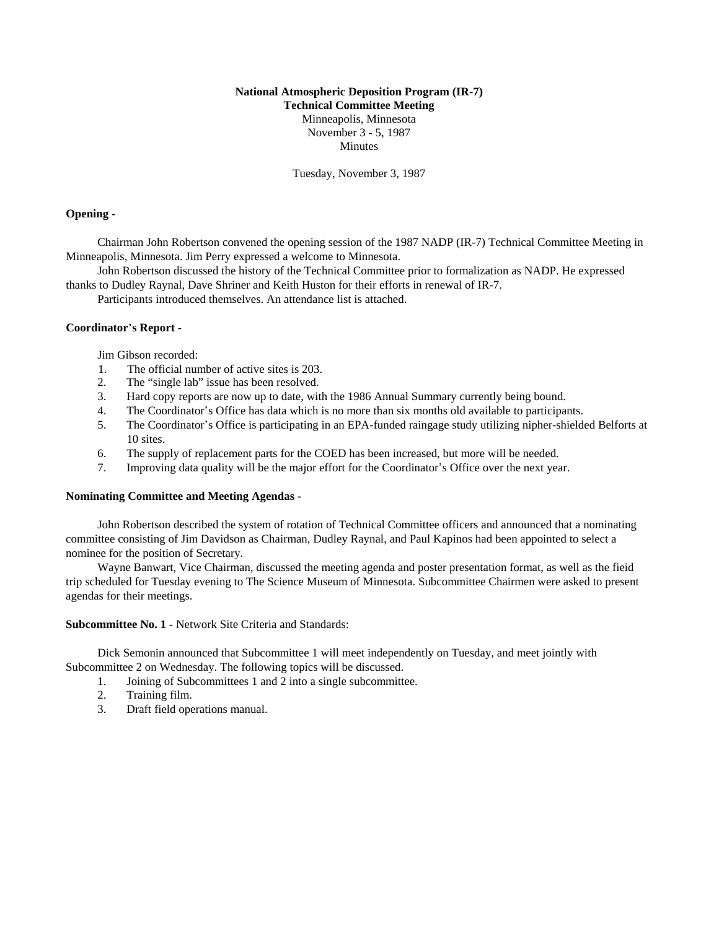# **National Atmospheric Deposition Program (IR-7) Technical Committee Meeting** Minneapolis, Minnesota November 3 - 5, 1987 Minutes

Tuesday, November 3, 1987

### **Opening -**

Chairman John Robertson convened the opening session of the 1987 NADP (IR-7) Technical Committee Meeting in Minneapolis, Minnesota. Jim Perry expressed a welcome to Minnesota.

John Robertson discussed the history of the Technical Committee prior to formalization as NADP. He expressed thanks to Dudley Raynal, Dave Shriner and Keith Huston for their efforts in renewal of IR-7.

Participants introduced themselves. An attendance list is attached.

## **Coordinator**\***s Report -**

Jim Gibson recorded:

- 1. The official number of active sites is 203.
- 2. The "single lab" issue has been resolved.
- 3. Hard copy reports are now up to date, with the 1986 Annual Summary currently being bound.
- 4. The Coordinator's Office has data which is no more than six months old available to participants.
- 5. The Coordinator\*s Office is participating in an EPA-funded raingage study utilizing nipher-shielded Belforts at 10 sites.
- 6. The supply of replacement parts for the COED has been increased, but more will be needed.
- 7. Improving data quality will be the major effort for the Coordinator's Office over the next year.

### **Nominating Committee and Meeting Agendas -**

John Robertson described the system of rotation of Technical Committee officers and announced that a nominating committee consisting of Jim Davidson as Chairman, Dudley Raynal, and Paul Kapinos had been appointed to select a nominee for the position of Secretary.

Wayne Banwart, Vice Chairman, discussed the meeting agenda and poster presentation format, as well as the fieid trip scheduled for Tuesday evening to The Science Museum of Minnesota. Subcommittee Chairmen were asked to present agendas for their meetings.

**Subcommittee No. 1** - Network Site Criteria and Standards:

Dick Semonin announced that Subcommittee 1 will meet independently on Tuesday, and meet jointly with Subcommittee 2 on Wednesday. The following topics will be discussed.

- 1. Joining of Subcommittees 1 and 2 into a single subcommittee.
- 2. Training film.
- 3. Draft field operations manual.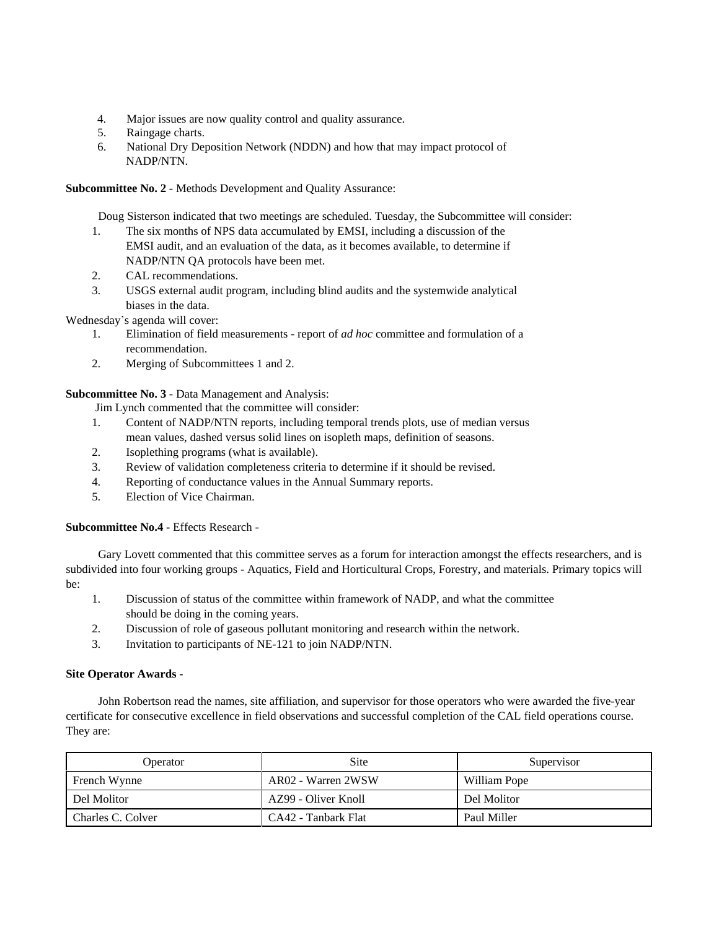- 4. Major issues are now quality control and quality assurance.
- 5. Raingage charts.
- 6. National Dry Deposition Network (NDDN) and how that may impact protocol of NADP/NTN.

# **Subcommittee No. 2** - Methods Development and Quality Assurance:

Doug Sisterson indicated that two meetings are scheduled. Tuesday, the Subcommittee will consider:

- 1. The six months of NPS data accumulated by EMSI, including a discussion of the EMSI audit, and an evaluation of the data, as it becomes available, to determine if NADP/NTN QA protocols have been met.
- 2. CAL recommendations.
- 3. USGS external audit program, including blind audits and the systemwide analytical biases in the data.

Wednesday's agenda will cover:

- 1. Elimination of field measurements report of *ad hoc* committee and formulation of a recommendation.
- 2. Merging of Subcommittees 1 and 2.

**Subcommittee No. 3** - Data Management and Analysis:

Jim Lynch commented that the committee will consider:

- 1. Content of NADP/NTN reports, including temporal trends plots, use of median versus mean values, dashed versus solid lines on isopleth maps, definition of seasons.
- 2. Isoplething programs (what is available).
- 3. Review of validation completeness criteria to determine if it should be revised.
- 4. Reporting of conductance values in the Annual Summary reports.
- 5. Election of Vice Chairman.

**Subcommittee No.4 - Effects Research -**

Gary Lovett commented that this committee serves as a forum for interaction amongst the effects researchers, and is subdivided into four working groups - Aquatics, Field and Horticultural Crops, Forestry, and materials. Primary topics will be:

- 1. Discussion of status of the committee within framework of NADP, and what the committee should be doing in the coming years.
- 2. Discussion of role of gaseous pollutant monitoring and research within the network.
- 3. Invitation to participants of NE-121 to join NADP/NTN.

# **Site Operator Awards -**

John Robertson read the names, site affiliation, and supervisor for those operators who were awarded the five-year certificate for consecutive excellence in field observations and successful completion of the CAL field operations course. They are:

| Operator          | <b>Site</b>         | Supervisor   |
|-------------------|---------------------|--------------|
| French Wynne      | AR02 - Warren 2WSW  | William Pope |
| Del Molitor       | AZ99 - Oliver Knoll | Del Molitor  |
| Charles C. Colver | CA42 - Tanbark Flat | Paul Miller  |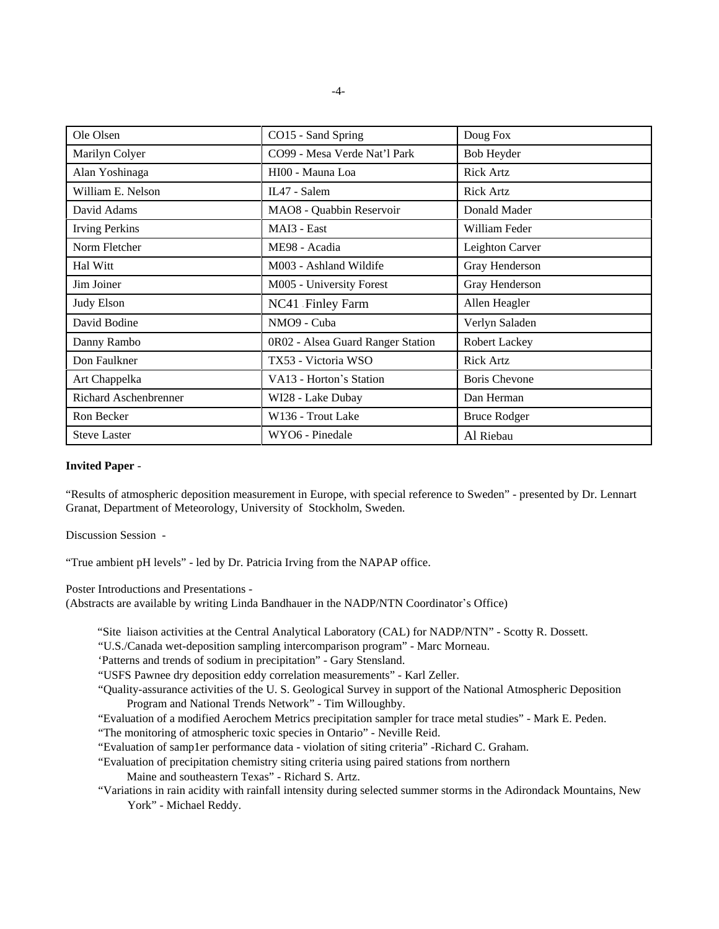| Ole Olsen                    | CO15 - Sand Spring                | Doug Fox             |
|------------------------------|-----------------------------------|----------------------|
| Marilyn Colyer               | CO99 - Mesa Verde Nat'l Park      | Bob Heyder           |
| Alan Yoshinaga               | HI00 - Mauna Loa                  | <b>Rick Artz</b>     |
| William E. Nelson            | IL47 - Salem                      | <b>Rick Artz</b>     |
| David Adams                  | MAO8 - Quabbin Reservoir          | Donald Mader         |
| <b>Irving Perkins</b>        | MAI3 - East                       | William Feder        |
| Norm Fletcher                | ME98 - Acadia                     | Leighton Carver      |
| Hal Witt                     | M003 - Ashland Wildife            | Gray Henderson       |
| Jim Joiner                   | M005 - University Forest          | Gray Henderson       |
| <b>Judy Elson</b>            | NC41 Finley Farm                  | Allen Heagler        |
| David Bodine                 | NMO9 - Cuba                       | Verlyn Saladen       |
| Danny Rambo                  | 0R02 - Alsea Guard Ranger Station | Robert Lackey        |
| Don Faulkner                 | TX53 - Victoria WSO               | <b>Rick Artz</b>     |
| Art Chappelka                | VA13 - Horton's Station           | <b>Boris Chevone</b> |
| <b>Richard Aschenbrenner</b> | WI28 - Lake Dubay                 | Dan Herman           |
| Ron Becker                   | W136 - Trout Lake                 | <b>Bruce Rodger</b>  |
| <b>Steve Laster</b>          | WYO6 - Pinedale                   | Al Riebau            |

### **Invited Paper** -

"Results of atmospheric deposition measurement in Europe, with special reference to Sweden" - presented by Dr. Lennart Granat, Department of Meteorology, University of Stockholm, Sweden.

Discussion Session -

"True ambient pH levels" - led by Dr. Patricia Irving from the NAPAP office.

Poster Introductions and Presentations -

(Abstracts are available by writing Linda Bandhauer in the NADP/NTN Coordinator's Office)

"Site liaison activities at the Central Analytical Laboratory (CAL) for NADP/NTN" - Scotty R. Dossett.

"U.S./Canada wet-deposition sampling intercomparison program" - Marc Morneau.

'Patterns and trends of sodium in precipitation" - Gary Stensland.

"USFS Pawnee dry deposition eddy correlation measurements" - Karl Zeller.

"Quality-assurance activities of the U. S. Geological Survey in support of the National Atmospheric Deposition Program and National Trends Network" - Tim Willoughby.

"Evaluation of a modified Aerochem Metrics precipitation sampler for trace metal studies" - Mark E. Peden.

"The monitoring of atmospheric toxic species in Ontario" - Neville Reid.

"Evaluation of samp1er performance data - violation of siting criteria" -Richard C. Graham.

"Evaluation of precipitation chemistry siting criteria using paired stations from northern

Maine and southeastern Texas" - Richard S. Artz.

"Variations in rain acidity with rainfall intensity during selected summer storms in the Adirondack Mountains, New York" - Michael Reddy.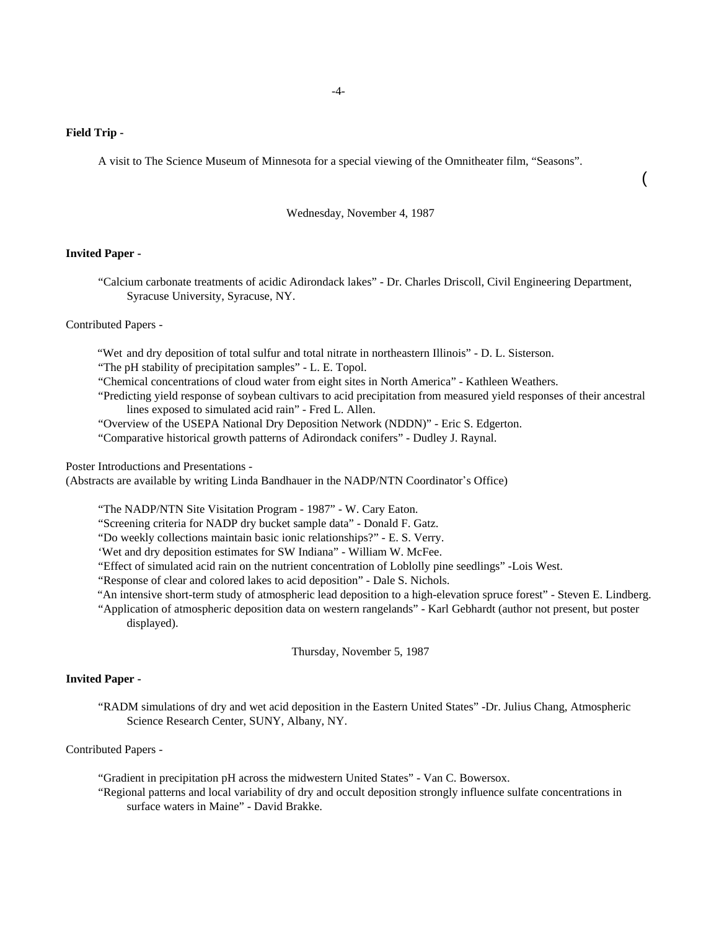### **Field Trip -**

A visit to The Science Museum of Minnesota for a special viewing of the Omnitheater film, "Seasons".

Wednesday, November 4, 1987

(

#### **Invited Paper -**

"Calcium carbonate treatments of acidic Adirondack lakes" - Dr. Charles Driscoll, Civil Engineering Department, Syracuse University, Syracuse, NY.

Contributed Papers -

"Wet and dry deposition of total sulfur and total nitrate in northeastern Illinois" - D. L. Sisterson.

"The pH stability of precipitation samples" - L. E. Topol.

"Chemical concentrations of cloud water from eight sites in North America" - Kathleen Weathers.

- "Predicting yield response of soybean cultivars to acid precipitation from measured yield responses of their ancestral lines exposed to simulated acid rain" - Fred L. Allen.
- "Overview of the USEPA National Dry Deposition Network (NDDN)" Eric S. Edgerton.

"Comparative historical growth patterns of Adirondack conifers" - Dudley J. Raynal.

Poster Introductions and Presentations -

(Abstracts are available by writing Linda Bandhauer in the NADP/NTN Coordinator's Office)

"The NADP/NTN Site Visitation Program - 1987" - W. Cary Eaton.

"Screening criteria for NADP dry bucket sample data" - Donald F. Gatz.

"Do weekly collections maintain basic ionic relationships?" - E. S. Verry.

'Wet and dry deposition estimates for SW Indiana" - William W. McFee.

"Effect of simulated acid rain on the nutrient concentration of Loblolly pine seedlings" -Lois West.

"Response of clear and colored lakes to acid deposition" - Dale S. Nichols.

- "An intensive short-term study of atmospheric lead deposition to a high-elevation spruce forest" Steven E. Lindberg.
- "Application of atmospheric deposition data on western rangelands" Karl Gebhardt (author not present, but poster displayed).

Thursday, November 5, 1987

## **Invited Paper -**

"RADM simulations of dry and wet acid deposition in the Eastern United States" -Dr. Julius Chang, Atmospheric Science Research Center, SUNY, Albany, NY.

## Contributed Papers -

"Gradient in precipitation pH across the midwestern United States" - Van C. Bowersox.

"Regional patterns and local variability of dry and occult deposition strongly influence sulfate concentrations in surface waters in Maine" - David Brakke.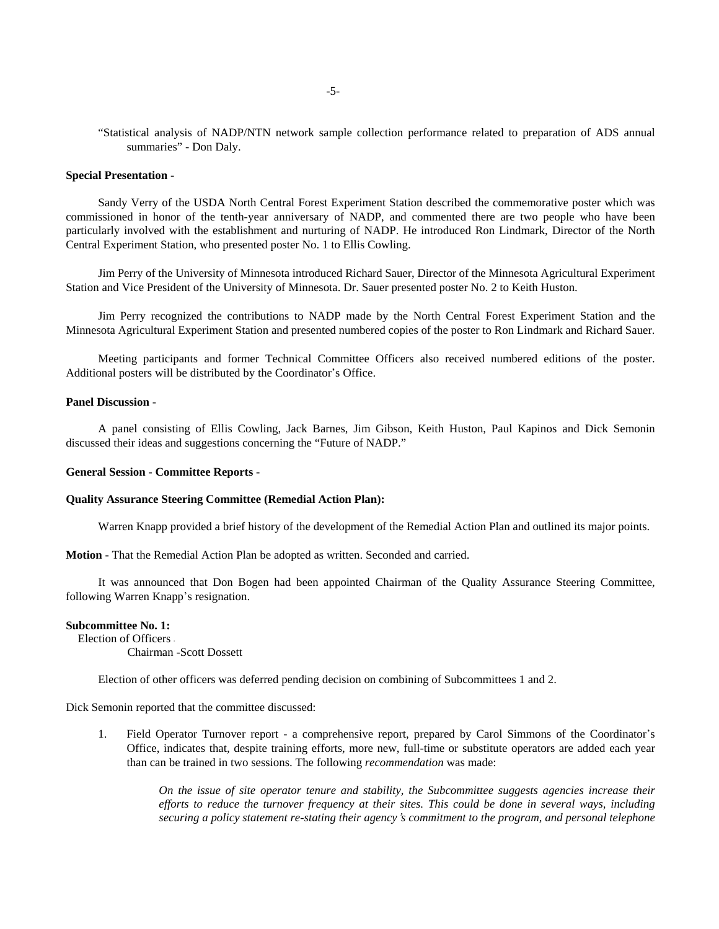"Statistical analysis of NADP/NTN network sample collection performance related to preparation of ADS annual summaries" - Don Daly.

#### **Special Presentation -**

Sandy Verry of the USDA North Central Forest Experiment Station described the commemorative poster which was commissioned in honor of the tenth-year anniversary of NADP, and commented there are two people who have been particularly involved with the establishment and nurturing of NADP. He introduced Ron Lindmark, Director of the North Central Experiment Station, who presented poster No. 1 to Ellis Cowling.

Jim Perry of the University of Minnesota introduced Richard Sauer, Director of the Minnesota Agricultural Experiment Station and Vice President of the University of Minnesota. Dr. Sauer presented poster No. 2 to Keith Huston.

Jim Perry recognized the contributions to NADP made by the North Central Forest Experiment Station and the Minnesota Agricultural Experiment Station and presented numbered copies of the poster to Ron Lindmark and Richard Sauer.

Meeting participants and former Technical Committee Officers also received numbered editions of the poster. Additional posters will be distributed by the Coordinator's Office.

#### **Panel Discussion -**

A panel consisting of Ellis Cowling, Jack Barnes, Jim Gibson, Keith Huston, Paul Kapinos and Dick Semonin discussed their ideas and suggestions concerning the "Future of NADP."

#### **General Session - Committee Reports -**

#### **Quality Assurance Steering Committee (Remedial Action Plan):**

Warren Knapp provided a brief history of the development of the Remedial Action Plan and outlined its major points.

**Motion -** That the Remedial Action Plan be adopted as written. Seconded and carried.

It was announced that Don Bogen had been appointed Chairman of the Quality Assurance Steering Committee, following Warren Knapp's resignation.

## **Subcommittee No. 1:**

Election of Officers -

Chairman -Scott Dossett

Election of other officers was deferred pending decision on combining of Subcommittees 1 and 2.

Dick Semonin reported that the committee discussed:

1. Field Operator Turnover report - a comprehensive report, prepared by Carol Simmons of the Coordinator's Office, indicates that, despite training efforts, more new, full-time or substitute operators are added each year than can be trained in two sessions. The following *recommendation* was made:

> *On the issue of site operator tenure and stability, the Subcommittee suggests agencies increase their efforts to reduce the turnover frequency at their sites. This could be done in several ways, including securing a policy statement re-stating their agency*\**s commitment to the program, and personal telephone*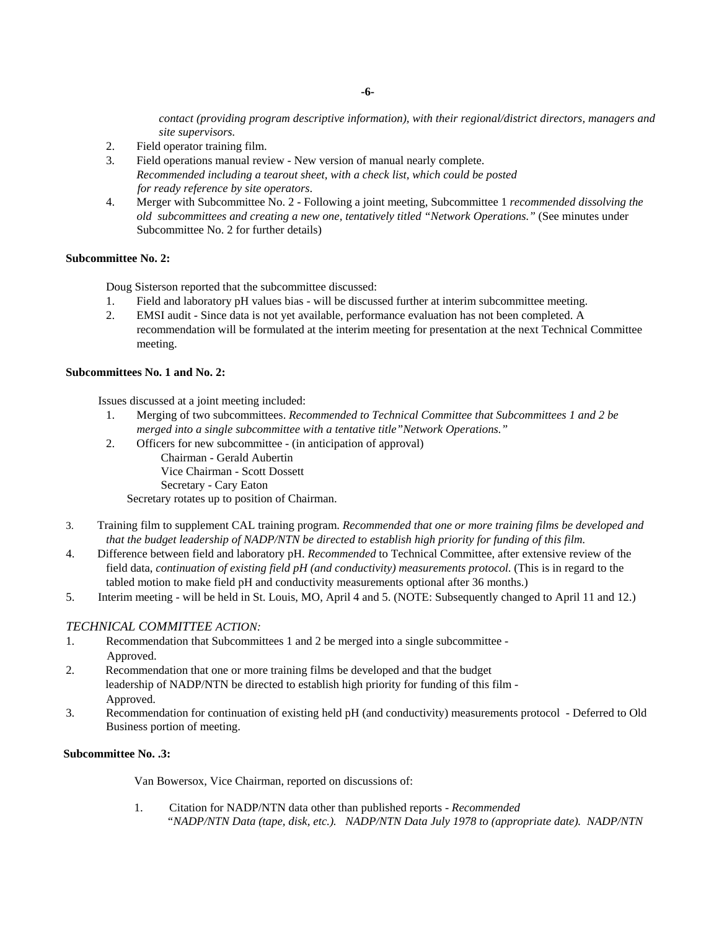*contact (providing program descriptive information), with their regional/district directors, managers and site supervisors.*

- 2. Field operator training film.
- 3. Field operations manual review New version of manual nearly complete. *Recommended including a tearout sheet, with a check list, which could be posted for ready reference by site operators*.
- 4. Merger with Subcommittee No. 2 Following a joint meeting, Subcommittee 1 *recommended dissolving the old subcommittees and creating a new one, tentatively titled "Network Operations."* (See minutes under Subcommittee No. 2 for further details)

## **Subcommittee No. 2:**

Doug Sisterson reported that the subcommittee discussed:

- 1. Field and laboratory pH values bias will be discussed further at interim subcommittee meeting.
- 2. EMSI audit Since data is not yet available, performance evaluation has not been completed. A recommendation will be formulated at the interim meeting for presentation at the next Technical Committee meeting.

### **Subcommittees No. 1 and No. 2:**

Issues discussed at a joint meeting included:

- 1. Merging of two subcommittees. *Recommended to Technical Committee that Subcommittees 1 and 2 be merged into a single subcommittee with a tentative title"Network Operations."*
- 2. Officers for new subcommittee (in anticipation of approval) Chairman - Gerald Aubertin

Vice Chairman - Scott Dossett

Secretary - Cary Eaton

Secretary rotates up to position of Chairman.

- 3. Training film to supplement CAL training program. *Recommended that one or more training films be developed and that the budget leadership of NADP/NTN be directed to establish high priority for funding of this film.*
- 4. Difference between field and laboratory pH. *Recommended* to Technical Committee, after extensive review of the field data, *continuation of existing field pH (and conductivity) measurements protocol*. (This is in regard to the tabled motion to make field pH and conductivity measurements optional after 36 months.)
- 5. Interim meeting will be held in St. Louis, MO, April 4 and 5. (NOTE: Subsequently changed to April 11 and 12.)

# *TECHNICAL COMMITTEE ACTION:*

- 1. Recommendation that Subcommittees 1 and 2 be merged into a single subcommittee Approved.
- 2. Recommendation that one or more training films be developed and that the budget leadership of NADP/NTN be directed to establish high priority for funding of this film - Approved.
- 3. Recommendation for continuation of existing held pH (and conductivity) measurements protocol Deferred to Old Business portion of meeting.

## **Subcommittee No. .3:**

Van Bowersox, Vice Chairman, reported on discussions of:

1. Citation for NADP/NTN data other than published reports - *Recommended "NADP/NTN Data (tape, disk, etc.). NADP/NTN Data July 1978 to (appropriate date). NADP/NTN*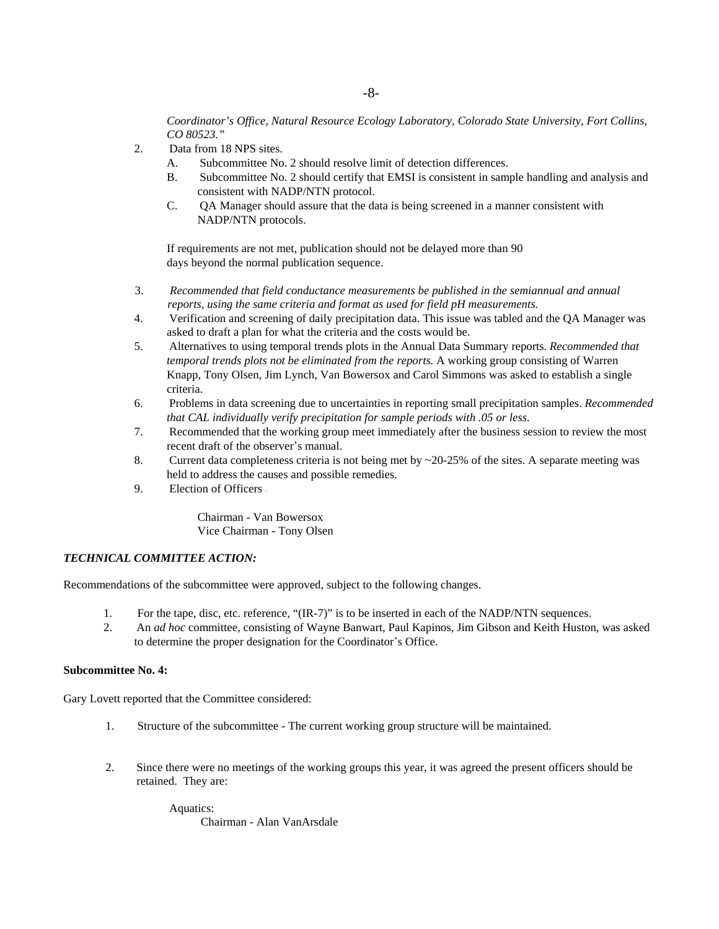*Coordinator's Office, Natural Resource Ecology Laboratory, Colorado State University, Fort Collins, CO 80523."*

- 2. Data from 18 NPS sites.
	- A. Subcommittee No. 2 should resolve limit of detection differences.
	- B. Subcommittee No. 2 should certify that EMSI is consistent in sample handling and analysis and consistent with NADP/NTN protocol.
	- C. QA Manager should assure that the data is being screened in a manner consistent with NADP/NTN protocols.

If requirements are not met, publication should not be delayed more than 90 days beyond the normal publication sequence.

- 3. *Recommended that field conductance measurements be published in the semiannual and annual reports, using the same criteria and format as used for field pH measurements.*
- 4. Verification and screening of daily precipitation data. This issue was tabled and the QA Manager was asked to draft a plan for what the criteria and the costs would be.
- 5. Alternatives to using temporal trends plots in the Annual Data Summary reports. *Recommended that temporal trends plots not be eliminated from the reports.* A working group consisting of Warren Knapp, Tony Olsen, Jim Lynch, Van Bowersox and Carol Simmons was asked to establish a single criteria.
- 6. Problems in data screening due to uncertainties in reporting small precipitation samples. *Recommended that CAL individually verify precipitation for sample periods with .05 or less.*
- 7. Recommended that the working group meet immediately after the business session to review the most recent draft of the observer's manual.
- 8. Current data completeness criteria is not being met by ~20-25% of the sites. A separate meeting was held to address the causes and possible remedies.
- 9. Election of Officers -

Chairman - Van Bowersox Vice Chairman - Tony Olsen

# *TECHNICAL COMMITTEE ACTION:*

Recommendations of the subcommittee were approved, subject to the following changes.

- 1. For the tape, disc, etc. reference, "(IR-7)" is to be inserted in each of the NADP/NTN sequences.
- 2. An *ad hoc* committee, consisting of Wayne Banwart, Paul Kapinos, Jim Gibson and Keith Huston, was asked to determine the proper designation for the Coordinator's Office.

### **Subcommittee No. 4:**

Gary Lovett reported that the Committee considered:

- 1. Structure of the subcommittee The current working group structure will be maintained.
- 2. Since there were no meetings of the working groups this year, it was agreed the present officers should be retained. They are:

Aquatics: Chairman - Alan VanArsdale